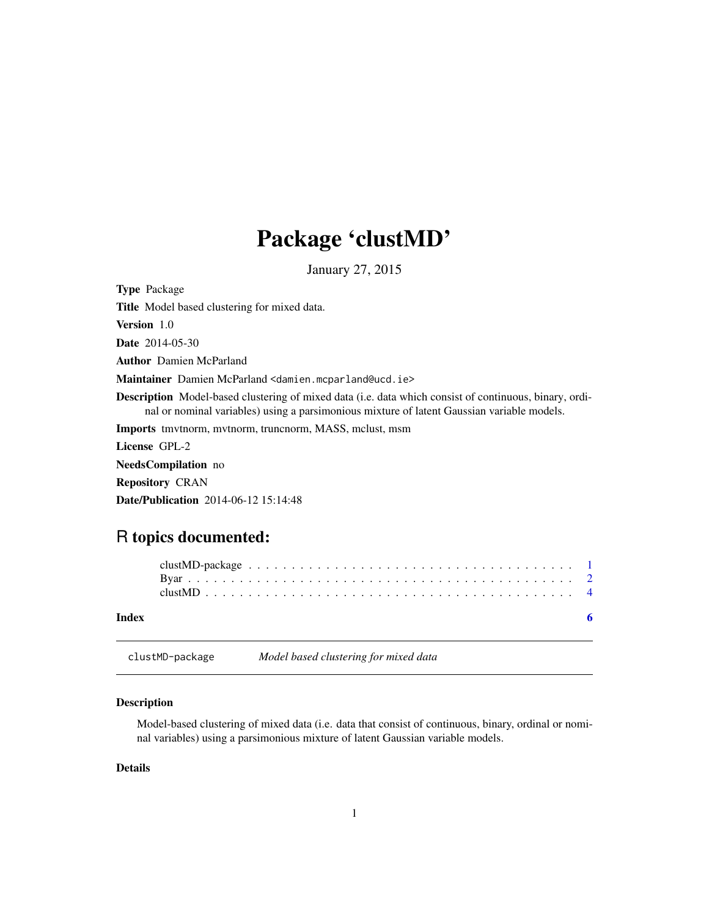# Package 'clustMD'

January 27, 2015

<span id="page-0-0"></span>Type Package Title Model based clustering for mixed data. Version 1.0 Date 2014-05-30 Author Damien McParland Maintainer Damien McParland <damien.mcparland@ucd.ie> Description Model-based clustering of mixed data (i.e. data which consist of continuous, binary, ordinal or nominal variables) using a parsimonious mixture of latent Gaussian variable models. Imports tmvtnorm, mvtnorm, truncnorm, MASS, mclust, msm License GPL-2 NeedsCompilation no Repository CRAN

Date/Publication 2014-06-12 15:14:48

# R topics documented:

| Index |  |  |  |  |  |  |  |  |  |  |  |  |  |  |  |  |  |  |
|-------|--|--|--|--|--|--|--|--|--|--|--|--|--|--|--|--|--|--|

clustMD-package *Model based clustering for mixed data*

# Description

Model-based clustering of mixed data (i.e. data that consist of continuous, binary, ordinal or nominal variables) using a parsimonious mixture of latent Gaussian variable models.

# Details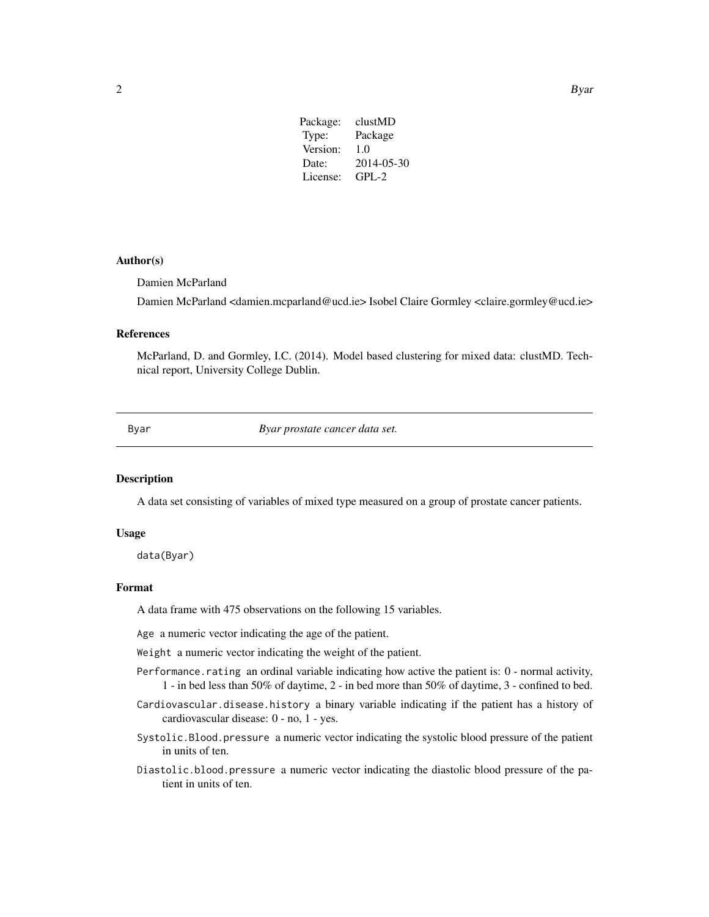| Package: | clustMD    |
|----------|------------|
| Type:    | Package    |
| Version: | 1.0        |
| Date:    | 2014-05-30 |
| License: | $GPL-2$    |
|          |            |

# <span id="page-1-0"></span>Author(s)

Damien McParland

Damien McParland <damien.mcparland@ucd.ie> Isobel Claire Gormley <claire.gormley@ucd.ie>

# References

McParland, D. and Gormley, I.C. (2014). Model based clustering for mixed data: clustMD. Technical report, University College Dublin.

Byar *Byar prostate cancer data set.*

### Description

A data set consisting of variables of mixed type measured on a group of prostate cancer patients.

### Usage

data(Byar)

# Format

A data frame with 475 observations on the following 15 variables.

Age a numeric vector indicating the age of the patient.

Weight a numeric vector indicating the weight of the patient.

- Performance.rating an ordinal variable indicating how active the patient is: 0 normal activity, 1 - in bed less than 50% of daytime, 2 - in bed more than 50% of daytime, 3 - confined to bed.
- Cardiovascular.disease.history a binary variable indicating if the patient has a history of cardiovascular disease: 0 - no, 1 - yes.
- Systolic.Blood.pressure a numeric vector indicating the systolic blood pressure of the patient in units of ten.
- Diastolic.blood.pressure a numeric vector indicating the diastolic blood pressure of the patient in units of ten.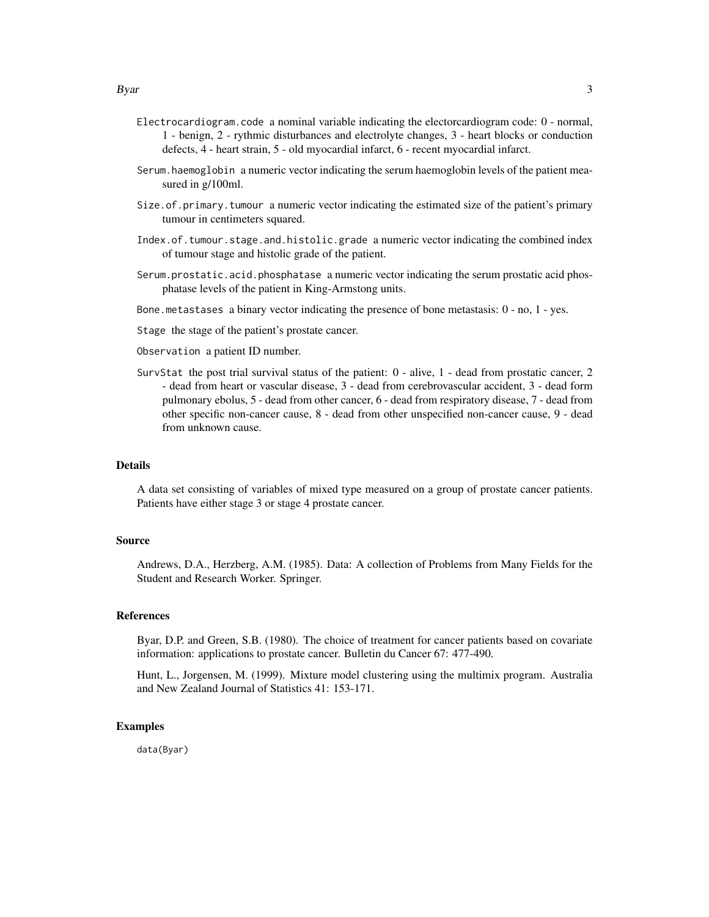- Electrocardiogram.code a nominal variable indicating the electorcardiogram code: 0 normal, 1 - benign, 2 - rythmic disturbances and electrolyte changes, 3 - heart blocks or conduction defects, 4 - heart strain, 5 - old myocardial infarct, 6 - recent myocardial infarct.
- Serum.haemoglobin a numeric vector indicating the serum haemoglobin levels of the patient measured in g/100ml.
- Size.of.primary.tumour a numeric vector indicating the estimated size of the patient's primary tumour in centimeters squared.
- Index.of.tumour.stage.and.histolic.grade a numeric vector indicating the combined index of tumour stage and histolic grade of the patient.
- Serum.prostatic.acid.phosphatase a numeric vector indicating the serum prostatic acid phosphatase levels of the patient in King-Armstong units.
- Bone.metastases a binary vector indicating the presence of bone metastasis: 0 no, 1 yes.
- Stage the stage of the patient's prostate cancer.

Observation a patient ID number.

SurvStat the post trial survival status of the patient: 0 - alive, 1 - dead from prostatic cancer, 2 - dead from heart or vascular disease, 3 - dead from cerebrovascular accident, 3 - dead form pulmonary ebolus, 5 - dead from other cancer, 6 - dead from respiratory disease, 7 - dead from other specific non-cancer cause, 8 - dead from other unspecified non-cancer cause, 9 - dead from unknown cause.

# Details

A data set consisting of variables of mixed type measured on a group of prostate cancer patients. Patients have either stage 3 or stage 4 prostate cancer.

# Source

Andrews, D.A., Herzberg, A.M. (1985). Data: A collection of Problems from Many Fields for the Student and Research Worker. Springer.

## References

Byar, D.P. and Green, S.B. (1980). The choice of treatment for cancer patients based on covariate information: applications to prostate cancer. Bulletin du Cancer 67: 477-490.

Hunt, L., Jorgensen, M. (1999). Mixture model clustering using the multimix program. Australia and New Zealand Journal of Statistics 41: 153-171.

# Examples

data(Byar)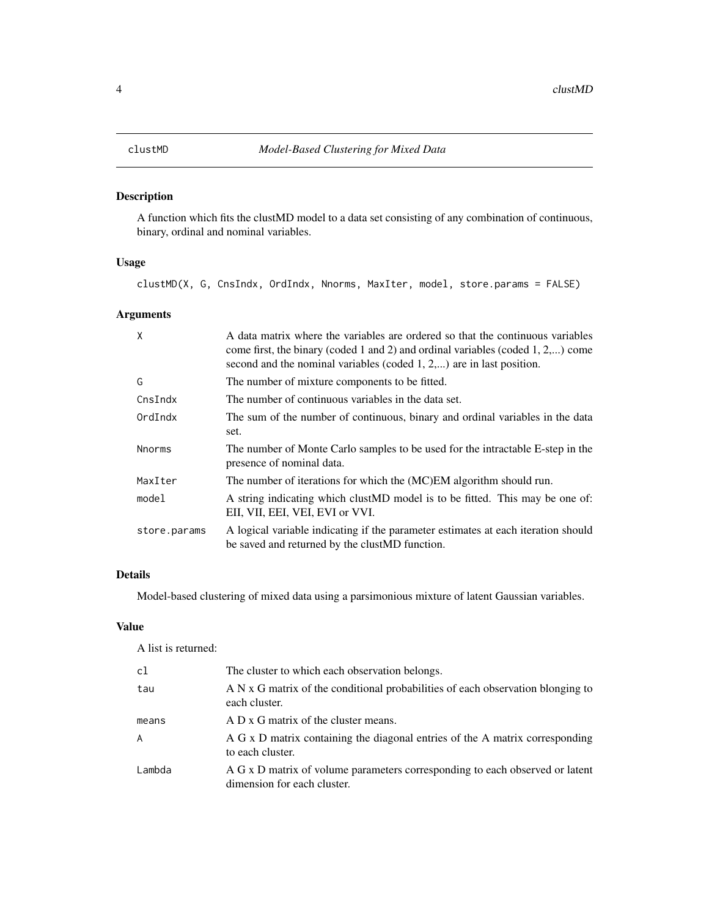# <span id="page-3-0"></span>Description

A function which fits the clustMD model to a data set consisting of any combination of continuous, binary, ordinal and nominal variables.

# Usage

clustMD(X, G, CnsIndx, OrdIndx, Nnorms, MaxIter, model, store.params = FALSE)

# Arguments

| X             | A data matrix where the variables are ordered so that the continuous variables<br>come first, the binary (coded 1 and 2) and ordinal variables (coded 1, $2,$ ) come<br>second and the nominal variables (coded $1, 2, \dots$ ) are in last position. |
|---------------|-------------------------------------------------------------------------------------------------------------------------------------------------------------------------------------------------------------------------------------------------------|
| G             | The number of mixture components to be fitted.                                                                                                                                                                                                        |
| CnsIndx       | The number of continuous variables in the data set.                                                                                                                                                                                                   |
| OrdIndx       | The sum of the number of continuous, binary and ordinal variables in the data<br>set.                                                                                                                                                                 |
| <b>Nnorms</b> | The number of Monte Carlo samples to be used for the intractable E-step in the<br>presence of nominal data.                                                                                                                                           |
| MaxIter       | The number of iterations for which the (MC)EM algorithm should run.                                                                                                                                                                                   |
| model         | A string indicating which clustMD model is to be fitted. This may be one of:<br>EII, VII, EEI, VEI, EVI or VVI.                                                                                                                                       |
| store.params  | A logical variable indicating if the parameter estimates at each iteration should<br>be saved and returned by the clust MD function.                                                                                                                  |

# Details

Model-based clustering of mixed data using a parsimonious mixture of latent Gaussian variables.

# Value

A list is returned:

| c1     | The cluster to which each observation belongs.                                                              |
|--------|-------------------------------------------------------------------------------------------------------------|
| tau    | A N x G matrix of the conditional probabilities of each observation blonging to<br>each cluster.            |
| means  | A D x G matrix of the cluster means.                                                                        |
| A      | A G x D matrix containing the diagonal entries of the A matrix corresponding<br>to each cluster.            |
| Lambda | A G x D matrix of volume parameters corresponding to each observed or latent<br>dimension for each cluster. |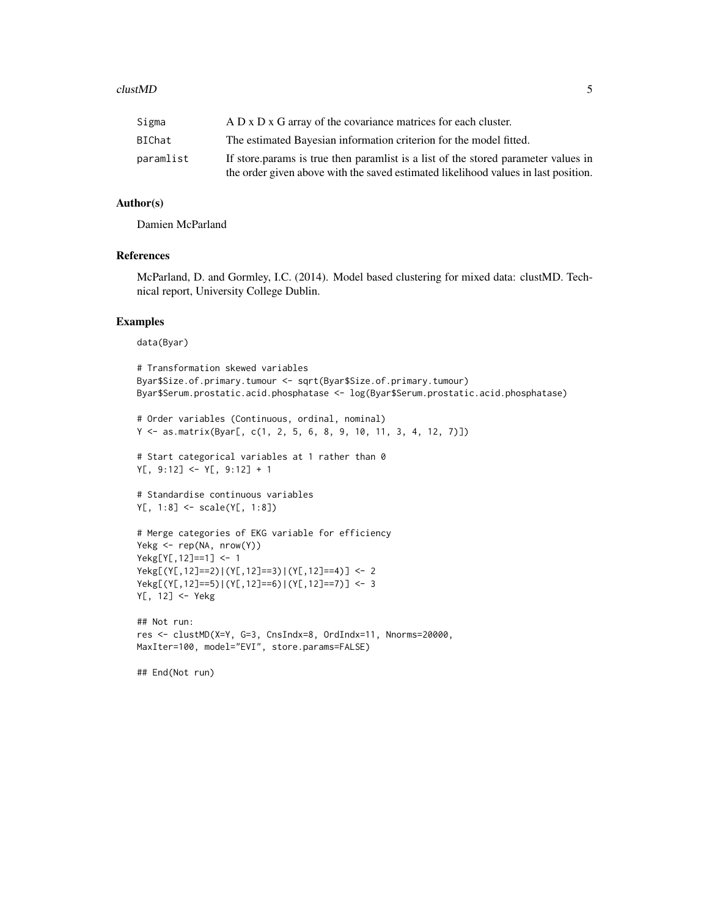# clustMD 5

| Sigma     | A D x D x G array of the covariance matrices for each cluster.                     |
|-----------|------------------------------------------------------------------------------------|
| BIChat    | The estimated Bayesian information criterion for the model fitted.                 |
| paramlist | If store params is true then paramlist is a list of the stored parameter values in |
|           | the order given above with the saved estimated likelihood values in last position. |

# Author(s)

Damien McParland

# References

McParland, D. and Gormley, I.C. (2014). Model based clustering for mixed data: clustMD. Technical report, University College Dublin.

# Examples

data(Byar)

```
# Transformation skewed variables
Byar$Size.of.primary.tumour <- sqrt(Byar$Size.of.primary.tumour)
Byar$Serum.prostatic.acid.phosphatase <- log(Byar$Serum.prostatic.acid.phosphatase)
```

```
# Order variables (Continuous, ordinal, nominal)
Y <- as.matrix(Byar[, c(1, 2, 5, 6, 8, 9, 10, 11, 3, 4, 12, 7)])
```

```
# Start categorical variables at 1 rather than 0
Y[, 9:12] <- Y[, 9:12] + 1
```

```
# Standardise continuous variables
Y[, 1:8] <- scale(Y[, 1:8])
```

```
# Merge categories of EKG variable for efficiency
Yekg <- rep(NA, nrow(Y))
Yekg[Y[,12]==1] <- 1
Yekg[(Y[,12]==2)|(Y[,12]==3)|(Y[,12]==4)] <- 2
Yekg[(Y[,12]==5)|(Y[,12]==6)|(Y[,12]==7)] <- 3
Y[, 12] <- Yekg
```

```
## Not run:
res <- clustMD(X=Y, G=3, CnsIndx=8, OrdIndx=11, Nnorms=20000,
MaxIter=100, model="EVI", store.params=FALSE)
```
## End(Not run)